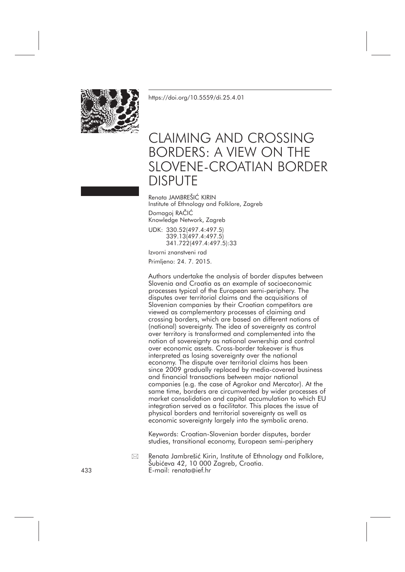

<https://doi.org/10.5559/di.25.4.01>

# CLAIMING AND CROSSING BORDERS: A VIEW ON THE SLOVENE-CROATIAN BORDER DISPUTE

Renata JAMBREŠIĆ KIRIN Institute of Ethnology and Folklore, Zagreb Domagoj RAČIĆ Knowledge Network, Zagreb UDK: 330.52(497.4:497.5)

339.13(497.4:497.5) 341.722(497.4:497.5):33

Izvorni znanstveni rad

Primljeno: 24. 7. 2015.

Authors undertake the analysis of border disputes between Slovenia and Croatia as an example of socioeconomic processes typical of the European semi-periphery. The disputes over territorial claims and the acquisitions of Slovenian companies by their Croatian competitors are viewed as complementary processes of claiming and crossing borders, which are based on different notions of (national) sovereignty. The idea of sovereignty as control over territory is transformed and complemented into the notion of sovereignty as national ownership and control over economic assets. Cross-border takeover is thus interpreted as losing sovereignty over the national economy. The dispute over territorial claims has been since 2009 gradually replaced by media-covered business and financial transactions between major national companies (e.g. the case of Agrokor and Mercator). At the same time, borders are circumvented by wider processes of market consolidation and capital accumulation to which EU integration served as a facilitator. This places the issue of physical borders and territorial sovereignty as well as economic sovereignty largely into the symbolic arena.

Keywords: Croatian-Slovenian border disputes, border studies, transitional economy, European semi-periphery

Renata Jambrešić Kirin, Institute of Ethnology and Folklore, Šubićeva 42, 10 000 Zagreb, Croatia. 433 E-mail: renata@ief.hr  $\boxtimes$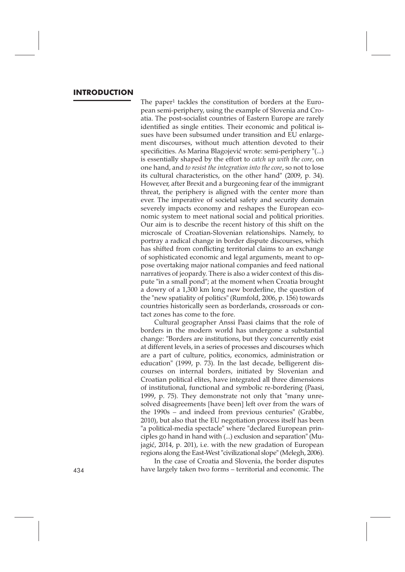# **INTRODUCTION**

The paper<sup>1</sup> tackles the constitution of borders at the European semi-periphery, using the example of Slovenia and Croatia. The post-socialist countries of Eastern Europe are rarely identified as single entities. Their economic and political issues have been subsumed under transition and EU enlargement discourses, without much attention devoted to their specificities. As Marina Blagojević wrote: semi-periphery "(...) is essentially shaped by the effort to *catch up with the core*, on one hand, and *to resist the integration into the core*, so not to lose its cultural characteristics, on the other hand" (2009, p. 34). However, after Brexit and a burgeoning fear of the immigrant threat, the periphery is aligned with the center more than ever. The imperative of societal safety and security domain severely impacts economy and reshapes the European economic system to meet national social and political priorities. Our aim is to describe the recent history of this shift on the microscale of Croatian-Slovenian relationships. Namely, to portray a radical change in border dispute discourses, which has shifted from conflicting territorial claims to an exchange of sophisticated economic and legal arguments, meant to oppose overtaking major national companies and feed national narratives of jeopardy. There is also a wider context of this dispute "in a small pond"; at the moment when Croatia brought a dowry of a 1,300 km long new borderline, the question of the "new spatiality of politics" (Rumfold, 2006, p. 156) towards countries historically seen as borderlands, crossroads or contact zones has come to the fore.

Cultural geographer Anssi Paasi claims that the role of borders in the modern world has undergone a substantial change: "Borders are institutions, but they concurrently exist at different levels, in a series of processes and discourses which are a part of culture, politics, economics, administration or education" (1999, p. 73). In the last decade, belligerent discourses on internal borders, initiated by Slovenian and Croatian political elites, have integrated all three dimensions of institutional, functional and symbolic re-bordering (Paasi, 1999, p. 75). They demonstrate not only that "many unresolved disagreements [have been] left over from the wars of the 1990s – and indeed from previous centuries" (Grabbe, 2010), but also that the EU negotiation process itself has been "a political-media spectacle" where "declared European principles go hand in hand with (...) exclusion and separation" (Mujagić, 2014, p. 201), i.e. with the new gradation of European regions along the East-West "civilizational slope" (Melegh, 2006).

In the case of Croatia and Slovenia, the border disputes 434 have largely taken two forms – territorial and economic. The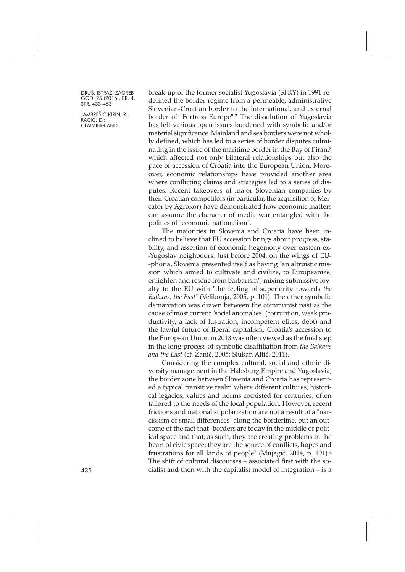JAMBREŠIĆ KIRIN, R., RAČIĆ, D.: CLAIMING AND...

break-up of the former socialist Yugoslavia (SFRY) in 1991 redefined the border regime from a permeable, administrative Slovenian-Croatian border to the international, and external border of "Fortress Europe".2 The dissolution of Yugoslavia has left various open issues burdened with symbolic and/or material significance. Mainland and sea borders were not wholly defined, which has led to a series of border disputes culminating in the issue of the maritime border in the Bay of Piran,<sup>3</sup> which affected not only bilateral relationships but also the pace of accession of Croatia into the European Union. Moreover, economic relationships have provided another area where conflicting claims and strategies led to a series of disputes. Recent takeovers of major Slovenian companies by their Croatian competitors (in particular, the acquisition of Mercator by Agrokor) have demonstrated how economic matters can assume the character of media war entangled with the politics of "economic nationalism".

The majorities in Slovenia and Croatia have been inclined to believe that EU accession brings about progress, stability, and assertion of economic hegemony over eastern ex- -Yugoslav neighbours. Just before 2004, on the wings of EU- -phoria, Slovenia presented itself as having "an altruistic mission which aimed to cultivate and civilize, to Europeanize, enlighten and rescue from barbarism", mixing submissive loyalty to the EU with "the feeling of superiority towards *the Balkans, the East*" (Velikonja, 2005, p. 101). The other symbolic demarcation was drawn between the communist past as the cause of most current "social anomalies" (corruption, weak productivity, a lack of lustration, incompetent elites, debt) and the lawful future of liberal capitalism. Croatia's accession to the European Union in 2013 was often viewed as the final step in the long process of symbolic disaffiliation from *the Balkans and the East* (cf. Žanić, 2005; Slukan Altić, 2011).

Considering the complex cultural, social and ethnic diversity management in the Habsburg Empire and Yugoslavia, the border zone between Slovenia and Croatia has represented a typical transitive realm where different cultures, historical legacies, values and norms coexisted for centuries, often tailored to the needs of the local population. However, recent frictions and nationalist polarization are not a result of a "narcissism of small differences" along the borderline, but an outcome of the fact that "borders are today in the middle of political space and that, as such, they are creating problems in the heart of civic space; they are the source of conflicts, hopes and frustrations for all kinds of people" (Mujagić, 2014, p. 191).4 The shift of cultural discourses – associated first with the so-435 cialist and then with the capitalist model of integration – is a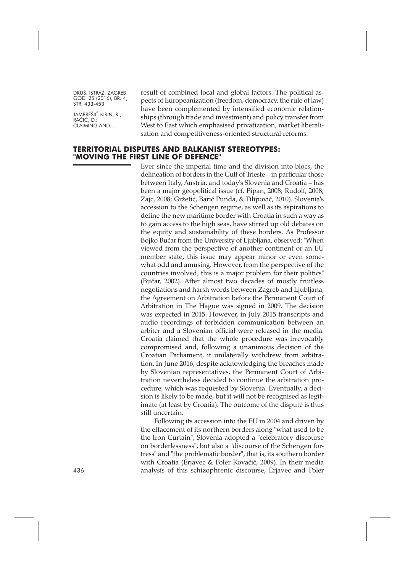JAMBREŠIĆ KIRIN, R., RAČIĆ, D.: CLAIMING AND...

result of combined local and global factors. The political aspects of Europeanization (freedom, democracy, the rule of law) have been complemented by intensified economic relationships (through trade and investment) and policy transfer from West to East which emphasised privatization, market liberalisation and competitiveness-oriented structural reforms.

#### **TERRITORIAL DISPUTES AND BALKANIST STEREOTYPES: "MOVING THE FIRST LINE OF DEFENCE"**

Ever since the imperial time and the division into blocs, the delineation of borders in the Gulf of Trieste – in particular those between Italy, Austria, and today's Slovenia and Croatia – has been a major geopolitical issue (cf. Pipan, 2008; Rudolf, 2008; Zajc, 2008; Gržetić, Barić Punda, & Filipović, 2010). Slovenia's accession to the Schengen regime, as well as its aspirations to define the new maritime border with Croatia in such a way as to gain access to the high seas, have stirred up old debates on the equity and sustainability of these borders. As Professor Bojko Bučar from the University of Ljubljana, observed: "When viewed from the perspective of another continent or an EU member state, this issue may appear minor or even somewhat odd and amusing. However, from the perspective of the countries involved, this is a major problem for their politics" (Bučar, 2002). After almost two decades of mostly fruitless negotiations and harsh words between Zagreb and Ljubljana, the Agreement on Arbitration before the Permanent Court of Arbitration in The Hague was signed in 2009. The decision was expected in 2015. However, in July 2015 transcripts and audio recordings of forbidden communication between an arbiter and a Slovenian official were released in the media. Croatia claimed that the whole procedure was irrevocably compromised and, following a unanimous decision of the Croatian Parliament, it unilaterally withdrew from arbitration. In June 2016, despite acknowledging the breaches made by Slovenian representatives, the Permanent Court of Arbitration nevertheless decided to continue the arbitration procedure, which was requested by Slovenia. Eventually, a decision is likely to be made, but it will not be recognised as legitimate (at least by Croatia). The outcome of the dispute is thus still uncertain.

Following its accession into the EU in 2004 and driven by the effacement of its northern borders along "what used to be the Iron Curtain", Slovenia adopted a "celebratory discourse on borderlessness", but also a "discourse of the Schengen fortress" and "the problematic border", that is, its southern border with Croatia (Erjavec & Poler Kovačič, 2009). In their media analysis of this schizophrenic discourse, Erjavec and Poler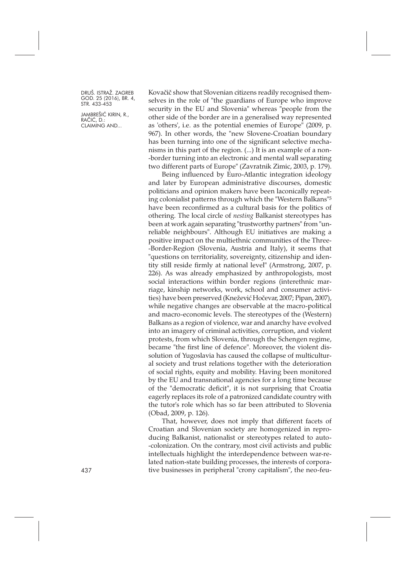JAMBREŠIĆ KIRIN, R., RAČIĆ, D.: CLAIMING AND...

Kovačič show that Slovenian citizens readily recognised themselves in the role of "the guardians of Europe who improve security in the EU and Slovenia" whereas "people from the other side of the border are in a generalised way represented as 'others', i.e. as the potential enemies of Europe" (2009, p. 967). In other words, the "new Slovene-Croatian boundary has been turning into one of the significant selective mechanisms in this part of the region. (...) It is an example of a non- -border turning into an electronic and mental wall separating two different parts of Europe" (Zavratnik Zimic, 2003, p. 179).

Being influenced by Euro-Atlantic integration ideology and later by European administrative discourses, domestic politicians and opinion makers have been laconically repeating colonialist patterns through which the "Western Balkans"5 have been reconfirmed as a cultural basis for the politics of othering. The local circle of *nesting* Balkanist stereotypes has been at work again separating "trustworthy partners" from "unreliable neighbours". Although EU initiatives are making a positive impact on the multiethnic communities of the Three- -Border-Region (Slovenia, Austria and Italy), it seems that "questions on territoriality, sovereignty, citizenship and identity still reside firmly at national level" (Armstrong, 2007, p. 226). As was already emphasized by anthropologists, most social interactions within border regions (interethnic marriage, kinship networks, work, school and consumer activities) have been preserved (Knežević Hočevar, 2007; Pipan, 2007), while negative changes are observable at the macro-political and macro-economic levels. The stereotypes of the (Western) Balkans as a region of violence, war and anarchy have evolved into an imagery of criminal activities, corruption, and violent protests, from which Slovenia, through the Schengen regime, became "the first line of defence". Moreover, the violent dissolution of Yugoslavia has caused the collapse of multicultural society and trust relations together with the deterioration of social rights, equity and mobility. Having been monitored by the EU and transnational agencies for a long time because of the "democratic deficit", it is not surprising that Croatia eagerly replaces its role of a patronized candidate country with the tutor's role which has so far been attributed to Slovenia (Obad, 2009, p. 126).

That, however, does not imply that different facets of Croatian and Slovenian society are homogenized in reproducing Balkanist, nationalist or stereotypes related to auto- -colonization. On the contrary, most civil activists and public intellectuals highlight the interdependence between war-related nation-state building processes, the interests of corpora-437 tive businesses in peripheral "crony capitalism", the neo-feu-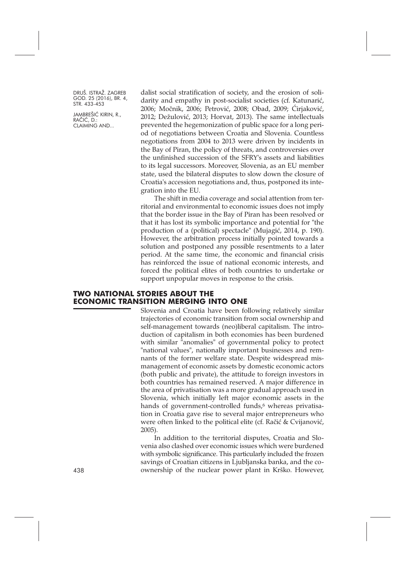JAMBREŠIĆ KIRIN, R., RAČIĆ, D.: CLAIMING AND...

dalist social stratification of society, and the erosion of solidarity and empathy in post-socialist societies (cf. Katunarić, 2006; Močnik, 2006; Petrović, 2008; Obad, 2009; Ćirjaković, 2012; Dežulović, 2013; Horvat, 2013). The same intellectuals prevented the hegemonization of public space for a long period of negotiations between Croatia and Slovenia. Countless negotiations from 2004 to 2013 were driven by incidents in the Bay of Piran, the policy of threats, and controversies over the unfinished succession of the SFRY's assets and liabilities to its legal successors. Moreover, Slovenia, as an EU member state, used the bilateral disputes to slow down the closure of Croatia's accession negotiations and, thus, postponed its integration into the EU.

The shift in media coverage and social attention from territorial and environmental to economic issues does not imply that the border issue in the Bay of Piran has been resolved or that it has lost its symbolic importance and potential for "the production of a (political) spectacle" (Mujagić, 2014, p. 190). However, the arbitration process initially pointed towards a solution and postponed any possible resentments to a later period. At the same time, the economic and financial crisis has reinforced the issue of national economic interests, and forced the political elites of both countries to undertake or support unpopular moves in response to the crisis.

#### **TWO NATIONAL STORIES ABOUT THE ECONOMIC TRANSITION MERGING INTO ONE**

Slovenia and Croatia have been following relatively similar trajectories of economic transition from social ownership and self-management towards (neo)liberal capitalism. The introduction of capitalism in both economies has been burdened with similar "anomalies" of governmental policy to protect "national values", nationally important businesses and remnants of the former welfare state. Despite widespread mismanagement of economic assets by domestic economic actors (both public and private), the attitude to foreign investors in both countries has remained reserved. A major difference in the area of privatisation was a more gradual approach used in Slovenia, which initially left major economic assets in the hands of government-controlled funds,<sup>6</sup> whereas privatisation in Croatia gave rise to several major entrepreneurs who were often linked to the political elite (cf. Račić & Cvijanović, 2005).

In addition to the territorial disputes, Croatia and Slovenia also clashed over economic issues which were burdened with symbolic significance. This particularly included the frozen savings of Croatian citizens in Ljubljanska banka, and the coownership of the nuclear power plant in Krško. However,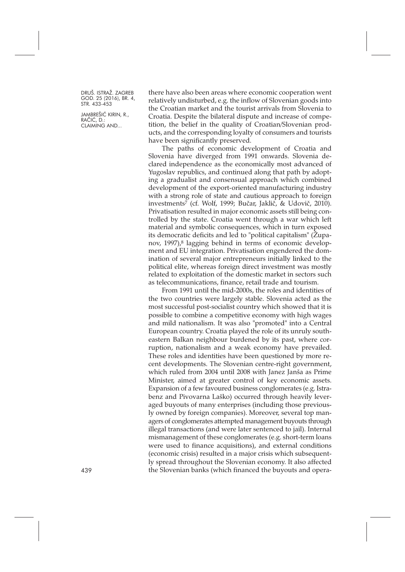JAMBREŠIĆ KIRIN, R., RAČIĆ, D.: CLAIMING AND...

there have also been areas where economic cooperation went relatively undisturbed, e.g. the inflow of Slovenian goods into the Croatian market and the tourist arrivals from Slovenia to Croatia. Despite the bilateral dispute and increase of competition, the belief in the quality of Croatian/Slovenian products, and the corresponding loyalty of consumers and tourists have been significantly preserved.

The paths of economic development of Croatia and Slovenia have diverged from 1991 onwards. Slovenia declared independence as the economically most advanced of Yugoslav republics, and continued along that path by adopting a gradualist and consensual approach which combined development of the export-oriented manufacturing industry with a strong role of state and cautious approach to foreign investments7 (cf. Wolf, 1999; Bučar, Jaklič, & Udovič, 2010). Privatisation resulted in major economic assets still being controlled by the state. Croatia went through a war which left material and symbolic consequences, which in turn exposed its democratic deficits and led to "political capitalism" (Županov, 1997),<sup>8</sup> lagging behind in terms of economic development and EU integration. Privatisation engendered the domination of several major entrepreneurs initially linked to the political elite, whereas foreign direct investment was mostly related to exploitation of the domestic market in sectors such as telecommunications, finance, retail trade and tourism.

From 1991 until the mid-2000s, the roles and identities of the two countries were largely stable. Slovenia acted as the most successful post-socialist country which showed that it is possible to combine a competitive economy with high wages and mild nationalism. It was also "promoted" into a Central European country. Croatia played the role of its unruly southeastern Balkan neighbour burdened by its past, where corruption, nationalism and a weak economy have prevailed. These roles and identities have been questioned by more recent developments. The Slovenian centre-right government, which ruled from 2004 until 2008 with Janez Janša as Prime Minister, aimed at greater control of key economic assets. Expansion of a few favoured business conglomerates (e.g. Istrabenz and Pivovarna Laško) occurred through heavily leveraged buyouts of many enterprises (including those previously owned by foreign companies). Moreover, several top managers of conglomerates attempted management buyouts through illegal transactions (and were later sentenced to jail). Internal mismanagement of these conglomerates (e.g. short-term loans were used to finance acquisitions), and external conditions (economic crisis) resulted in a major crisis which subsequently spread throughout the Slovenian economy. It also affected 439 the Slovenian banks (which financed the buyouts and opera-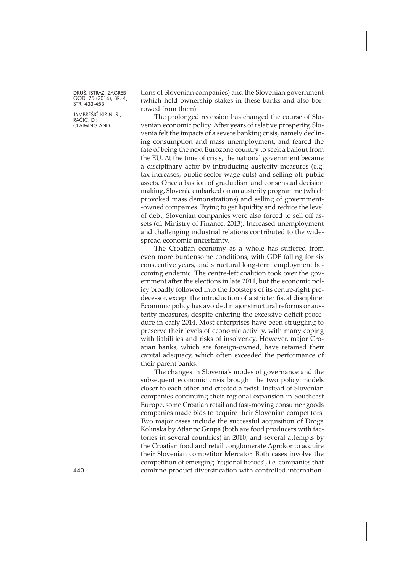JAMBREŠIĆ KIRIN, R., RAČIĆ, D.: CLAIMING AND...

tions of Slovenian companies) and the Slovenian government (which held ownership stakes in these banks and also borrowed from them).

The prolonged recession has changed the course of Slovenian economic policy. After years of relative prosperity, Slovenia felt the impacts of a severe banking crisis, namely declining consumption and mass unemployment, and feared the fate of being the next Eurozone country to seek a bailout from the EU. At the time of crisis, the national government became a disciplinary actor by introducing austerity measures (e.g. tax increases, public sector wage cuts) and selling off public assets. Once a bastion of gradualism and consensual decision making, Slovenia embarked on an austerity programme (which provoked mass demonstrations) and selling of government- -owned companies. Trying to get liquidity and reduce the level of debt, Slovenian companies were also forced to sell off assets (cf. Ministry of Finance, 2013). Increased unemployment and challenging industrial relations contributed to the widespread economic uncertainty.

The Croatian economy as a whole has suffered from even more burdensome conditions, with GDP falling for six consecutive years, and structural long-term employment becoming endemic. The centre-left coalition took over the government after the elections in late 2011, but the economic policy broadly followed into the footsteps of its centre-right predecessor, except the introduction of a stricter fiscal discipline. Economic policy has avoided major structural reforms or austerity measures, despite entering the excessive deficit procedure in early 2014. Most enterprises have been struggling to preserve their levels of economic activity, with many coping with liabilities and risks of insolvency. However, major Croatian banks, which are foreign-owned, have retained their capital adequacy, which often exceeded the performance of their parent banks.

The changes in Slovenia's modes of governance and the subsequent economic crisis brought the two policy models closer to each other and created a twist. Instead of Slovenian companies continuing their regional expansion in Southeast Europe, some Croatian retail and fast-moving consumer goods companies made bids to acquire their Slovenian competitors. Two major cases include the successful acquisition of Droga Kolinska by Atlantic Grupa (both are food producers with factories in several countries) in 2010, and several attempts by the Croatian food and retail conglomerate Agrokor to acquire their Slovenian competitor Mercator. Both cases involve the competition of emerging "regional heroes", i.e. companies that combine product diversification with controlled internation-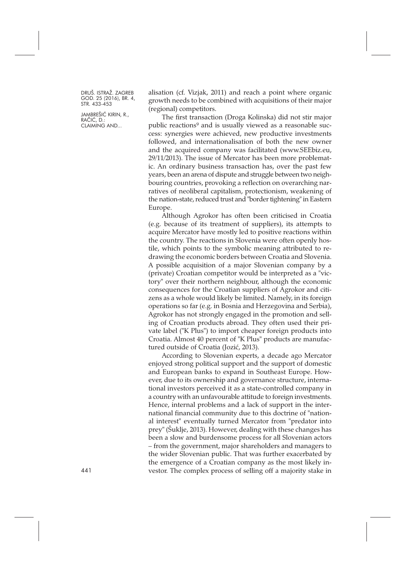JAMBREŠIĆ KIRIN, R., RAČIĆ, D.: CLAIMING AND...

alisation (cf. Vizjak, 2011) and reach a point where organic growth needs to be combined with acquisitions of their major (regional) competitors.

The first transaction (Droga Kolinska) did not stir major public reactions<sup>9</sup> and is usually viewed as a reasonable success: synergies were achieved, new productive investments followed, and internationalisation of both the new owner and the acquired company was facilitated (www.SEEbiz.eu, 29/11/2013). The issue of Mercator has been more problematic. An ordinary business transaction has, over the past few years, been an arena of dispute and struggle between two neighbouring countries, provoking a reflection on overarching narratives of neoliberal capitalism, protectionism, weakening of the nation-state, reduced trust and "border tightening" in Eastern Europe.

Although Agrokor has often been criticised in Croatia (e.g. because of its treatment of suppliers), its attempts to acquire Mercator have mostly led to positive reactions within the country. The reactions in Slovenia were often openly hostile, which points to the symbolic meaning attributed to redrawing the economic borders between Croatia and Slovenia. A possible acquisition of a major Slovenian company by a (private) Croatian competitor would be interpreted as a "victory" over their northern neighbour, although the economic consequences for the Croatian suppliers of Agrokor and citizens as a whole would likely be limited. Namely, in its foreign operations so far (e.g. in Bosnia and Herzegovina and Serbia), Agrokor has not strongly engaged in the promotion and selling of Croatian products abroad. They often used their private label ("K Plus") to import cheaper foreign products into Croatia. Almost 40 percent of "K Plus" products are manufactured outside of Croatia (Jozić, 2013).

According to Slovenian experts, a decade ago Mercator enjoyed strong political support and the support of domestic and European banks to expand in Southeast Europe. However, due to its ownership and governance structure, international investors perceived it as a state-controlled company in a country with an unfavourable attitude to foreign investments. Hence, internal problems and a lack of support in the international financial community due to this doctrine of "national interest" eventually turned Mercator from "predator into prey" (Šuklje, 2013). However, dealing with these changes has been a slow and burdensome process for all Slovenian actors – from the government, major shareholders and managers to the wider Slovenian public. That was further exacerbated by the emergence of a Croatian company as the most likely in-441 vestor. The complex process of selling off a majority stake in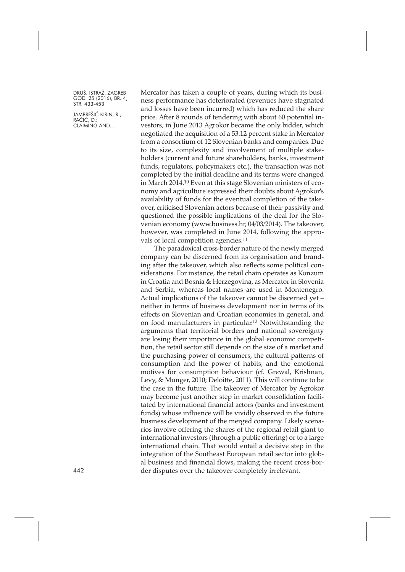JAMBREŠIĆ KIRIN, R., RAČIĆ, D.: CLAIMING AND...

Mercator has taken a couple of years, during which its business performance has deteriorated (revenues have stagnated and losses have been incurred) which has reduced the share price. After 8 rounds of tendering with about 60 potential investors, in June 2013 Agrokor became the only bidder, which negotiated the acquisition of a 53.12 percent stake in Mercator from a consortium of 12 Slovenian banks and companies. Due to its size, complexity and involvement of multiple stakeholders (current and future shareholders, banks, investment funds, regulators, policymakers etc.), the transaction was not completed by the initial deadline and its terms were changed in March 2014.10 Even at this stage Slovenian ministers of economy and agriculture expressed their doubts about Agrokor's availability of funds for the eventual completion of the takeover, criticised Slovenian actors because of their passivity and questioned the possible implications of the deal for the Slovenian economy (www.business.hr, 04/03/2014). The takeover, however, was completed in June 2014, following the approvals of local competition agencies.11

The paradoxical cross-border nature of the newly merged company can be discerned from its organisation and branding after the takeover, which also reflects some political considerations. For instance, the retail chain operates as Konzum in Croatia and Bosnia & Herzegovina, as Mercator in Slovenia and Serbia, whereas local names are used in Montenegro. Actual implications of the takeover cannot be discerned yet – neither in terms of business development nor in terms of its effects on Slovenian and Croatian economies in general, and on food manufacturers in particular.12 Notwithstanding the arguments that territorial borders and national sovereignty are losing their importance in the global economic competition, the retail sector still depends on the size of a market and the purchasing power of consumers, the cultural patterns of consumption and the power of habits, and the emotional motives for consumption behaviour (cf. Grewal, Krishnan, Levy, & Munger, 2010; Deloitte, 2011). This will continue to be the case in the future. The takeover of Mercator by Agrokor may become just another step in market consolidation facilitated by international financial actors (banks and investment funds) whose influence will be vividly observed in the future business development of the merged company. Likely scenarios involve offering the shares of the regional retail giant to international investors (through a public offering) or to a large international chain. That would entail a decisive step in the integration of the Southeast European retail sector into global business and financial flows, making the recent cross-border disputes over the takeover completely irrelevant.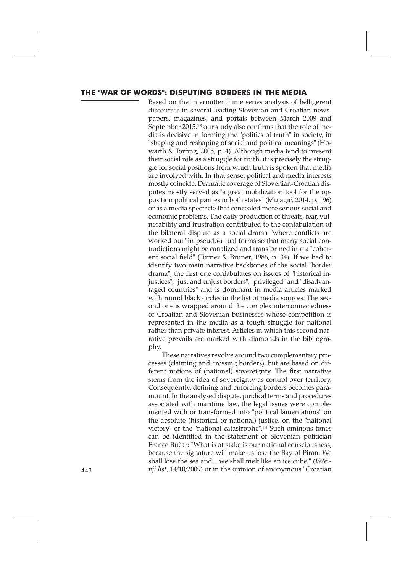## **THE "WAR OF WORDS": DISPUTING BORDERS IN THE MEDIA**

Based on the intermittent time series analysis of belligerent discourses in several leading Slovenian and Croatian newspapers, magazines, and portals between March 2009 and September 2015,13 our study also confirms that the role of media is decisive in forming the "politics of truth" in society, in "shaping and reshaping of social and political meanings" (Howarth & Torfing, 2005, p. 4). Although media tend to present their social role as a struggle for truth, it is precisely the struggle for social positions from which truth is spoken that media are involved with. In that sense, political and media interests mostly coincide. Dramatic coverage of Slovenian-Croatian disputes mostly served as "a great mobilization tool for the opposition political parties in both states" (Mujagić, 2014, p. 196) or as a media spectacle that concealed more serious social and economic problems. The daily production of threats, fear, vulnerability and frustration contributed to the confabulation of the bilateral dispute as a social drama "where conflicts are worked out" in pseudo-ritual forms so that many social contradictions might be canalized and transformed into a "coherent social field" (Turner & Bruner, 1986, p. 34). If we had to identify two main narrative backbones of the social "border drama", the first one confabulates on issues of "historical injustices", "just and unjust borders", "privileged" and "disadvantaged countries" and is dominant in media articles marked with round black circles in the list of media sources. The second one is wrapped around the complex interconnectedness of Croatian and Slovenian businesses whose competition is represented in the media as a tough struggle for national rather than private interest. Articles in which this second narrative prevails are marked with diamonds in the bibliography.

These narratives revolve around two complementary processes (claiming and crossing borders), but are based on different notions of (national) sovereignty. The first narrative stems from the idea of sovereignty as control over territory. Consequently, defining and enforcing borders becomes paramount. In the analysed dispute, juridical terms and procedures associated with maritime law, the legal issues were complemented with or transformed into "political lamentations" on the absolute (historical or national) justice, on the "national victory" or the "national catastrophe".14 Such ominous tones can be identified in the statement of Slovenian politician France Bučar: "What is at stake is our national consciousness, because the signature will make us lose the Bay of Piran. We shall lose the sea and... we shall melt like an ice cube!" (*Večer-*443 *nji list*, 14/10/2009) or in the opinion of anonymous "Croatian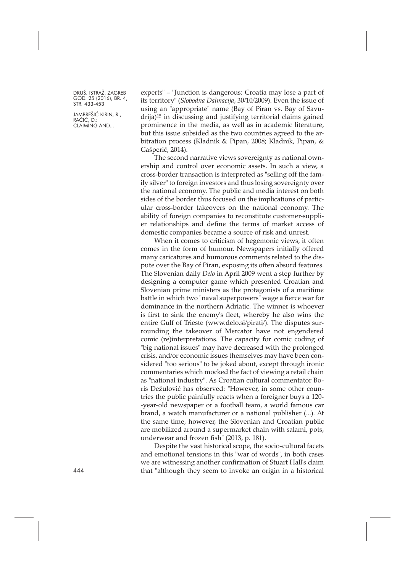JAMBREŠIĆ KIRIN, R., RAČIĆ, D.: CLAIMING AND...

experts" – "Junction is dangerous: Croatia may lose a part of its territory" (*Slobodna Dalmacija*, 30/10/2009). Even the issue of using an "appropriate" name (Bay of Piran vs. Bay of Savudrija)15 in discussing and justifying territorial claims gained prominence in the media, as well as in academic literature, but this issue subsided as the two countries agreed to the arbitration process (Kladnik & Pipan, 2008; Kladnik, Pipan, & Gašperič, 2014).

The second narrative views sovereignty as national ownership and control over economic assets. In such a view, a cross-border transaction is interpreted as "selling off the family silver" to foreign investors and thus losing sovereignty over the national economy. The public and media interest on both sides of the border thus focused on the implications of particular cross-border takeovers on the national economy. The ability of foreign companies to reconstitute customer-supplier relationships and define the terms of market access of domestic companies became a source of risk and unrest.

When it comes to criticism of hegemonic views, it often comes in the form of humour. Newspapers initially offered many caricatures and humorous comments related to the dispute over the Bay of Piran, exposing its often absurd features. The Slovenian daily *Delo* in April 2009 went a step further by designing a computer game which presented Croatian and Slovenian prime ministers as the protagonists of a maritime battle in which two "naval superpowers" wage a fierce war for dominance in the northern Adriatic. The winner is whoever is first to sink the enemy's fleet, whereby he also wins the entire Gulf of Trieste (www.delo.si/pirati/). The disputes surrounding the takeover of Mercator have not engendered comic (re)interpretations. The capacity for comic coding of "big national issues" may have decreased with the prolonged crisis, and/or economic issues themselves may have been considered "too serious" to be joked about, except through ironic commentaries which mocked the fact of viewing a retail chain as "national industry". As Croatian cultural commentator Boris Dežulović has observed: "However, in some other countries the public painfully reacts when a foreigner buys a 120- -year-old newspaper or a football team, a world famous car brand, a watch manufacturer or a national publisher (...). At the same time, however, the Slovenian and Croatian public are mobilized around a supermarket chain with salami, pots, underwear and frozen fish" (2013, p. 181).

Despite the vast historical scope, the socio-cultural facets and emotional tensions in this "war of words", in both cases we are witnessing another confirmation of Stuart Hall's claim that "although they seem to invoke an origin in a historical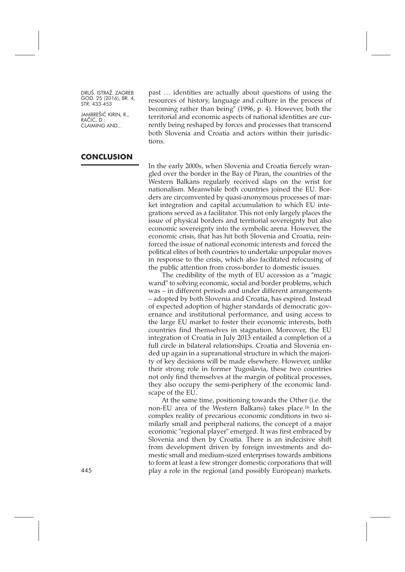JAMBREŠIĆ KIRIN, R., RAČIĆ, D.: CLAIMING AND...

past … identities are actually about questions of using the resources of history, language and culture in the process of becoming rather than being" (1996, p. 4). However, both the territorial and economic aspects of national identities are currently being reshaped by forces and processes that transcend both Slovenia and Croatia and actors within their jurisdictions.

# **CONCLUSION**

In the early 2000s, when Slovenia and Croatia fiercely wrangled over the border in the Bay of Piran, the countries of the Western Balkans regularly received slaps on the wrist for nationalism. Meanwhile both countries joined the EU. Borders are circumvented by quasi-anonymous processes of market integration and capital accumulation to which EU integrations served as a facilitator. This not only largely places the issue of physical borders and territorial sovereignty but also economic sovereignty into the symbolic arena. However, the economic crisis, that has hit both Slovenia and Croatia, reinforced the issue of national economic interests and forced the political elites of both countries to undertake unpopular moves in response to the crisis, which also facilitated refocusing of the public attention from cross-border to domestic issues.

The credibility of the myth of EU accession as a "magic wand" to solving economic, social and border problems, which was – in different periods and under different arrangements – adopted by both Slovenia and Croatia, has expired. Instead of expected adoption of higher standards of democratic governance and institutional performance, and using access to the large EU market to foster their economic interests, both countries find themselves in stagnation. Moreover, the EU integration of Croatia in July 2013 entailed a completion of a full circle in bilateral relationships. Croatia and Slovenia ended up again in a supranational structure in which the majority of key decisions will be made elsewhere. However, unlike their strong role in former Yugoslavia, these two countries not only find themselves at the margin of political processes, they also occupy the semi-periphery of the economic landscape of the EU.

At the same time, positioning towards the Other (i.e. the non-EU area of the Western Balkans) takes place.16 In the complex reality of precarious economic conditions in two similarly small and peripheral nations, the concept of a major economic "regional player" emerged. It was first embraced by Slovenia and then by Croatia. There is an indecisive shift from development driven by foreign investments and domestic small and medium-sized enterprises towards ambitions to form at least a few stronger domestic corporations that will 445 play a role in the regional (and possibly European) markets.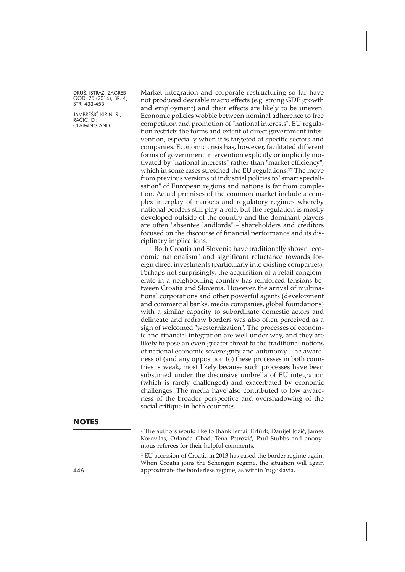JAMBREŠIĆ KIRIN, R., RAČIĆ, D.: CLAIMING AND...

Market integration and corporate restructuring so far have not produced desirable macro effects (e.g. strong GDP growth and employment) and their effects are likely to be uneven. Economic policies wobble between nominal adherence to free competition and promotion of "national interests". EU regulation restricts the forms and extent of direct government intervention, especially when it is targeted at specific sectors and companies. Economic crisis has, however, facilitated different forms of government intervention explicitly or implicitly motivated by "national interests" rather than "market efficiency", which in some cases stretched the EU regulations.17 The move from previous versions of industrial policies to "smart specialisation" of European regions and nations is far from completion. Actual premises of the common market include a complex interplay of markets and regulatory regimes whereby national borders still play a role, but the regulation is mostly developed outside of the country and the dominant players are often "absentee landlords" – shareholders and creditors focused on the discourse of financial performance and its disciplinary implications.

Both Croatia and Slovenia have traditionally shown "economic nationalism" and significant reluctance towards foreign direct investments (particularly into existing companies). Perhaps not surprisingly, the acquisition of a retail conglomerate in a neighbouring country has reinforced tensions between Croatia and Slovenia. However, the arrival of multinational corporations and other powerful agents (development and commercial banks, media companies, global foundations) with a similar capacity to subordinate domestic actors and delineate and redraw borders was also often perceived as a sign of welcomed "westernization". The processes of economic and financial integration are well under way, and they are likely to pose an even greater threat to the traditional notions of national economic sovereignty and autonomy. The awareness of (and any opposition to) these processes in both countries is weak, most likely because such processes have been subsumed under the discursive umbrella of EU integration (which is rarely challenged) and exacerbated by economic challenges. The media have also contributed to low awareness of the broader perspective and overshadowing of the social critique in both countries.

## **NOTES**

1 The authors would like to thank Ismail Ertürk, Danijel Jozić, James Korovilas, Orlanda Obad, Tena Petrović, Paul Stubbs and anonymous referees for their helpful comments.

2 EU accession of Croatia in 2013 has eased the border regime again. When Croatia joins the Schengen regime, the situation will again approximate the borderless regime, as within Yugoslavia.

446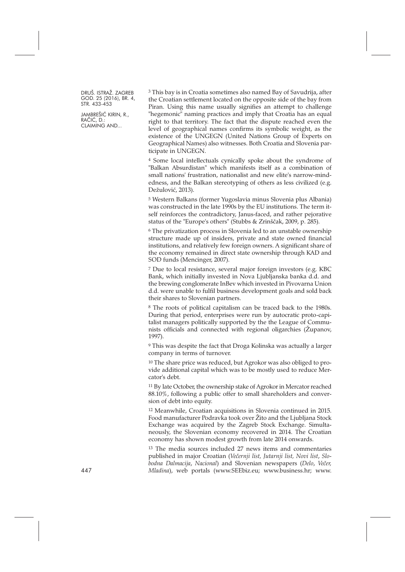JAMBREŠIĆ KIRIN, R., RAČIĆ, D.: CLAIMING AND...

3 This bay is in Croatia sometimes also named Bay of Savudrija, after the Croatian settlement located on the opposite side of the bay from Piran. Using this name usually signifies an attempt to challenge "hegemonic" naming practices and imply that Croatia has an equal right to that territory. The fact that the dispute reached even the level of geographical names confirms its symbolic weight, as the existence of the UNGEGN (United Nations Group of Experts on Geographical Names) also witnesses. Both Croatia and Slovenia participate in UNGEGN.

4 Some local intellectuals cynically spoke about the syndrome of "Balkan Absurdistan" which manifests itself as a combination of small nations' frustration, nationalist and new elite's narrow-mindedness, and the Balkan stereotyping of others as less civilized (e.g. Dežulović, 2013).

5 Western Balkans (former Yugoslavia minus Slovenia plus Albania) was constructed in the late 1990s by the EU institutions. The term itself reinforces the contradictory, Janus-faced, and rather pejorative status of the "Europe's others" (Stubbs & Zrinščak, 2009, p. 285).

<sup>6</sup> The privatization process in Slovenia led to an unstable ownership structure made up of insiders, private and state owned financial institutions, and relatively few foreign owners. A significant share of the economy remained in direct state ownership through KAD and SOD funds (Mencinger, 2007).

<sup>7</sup> Due to local resistance, several major foreign investors (e.g. KBC Bank, which initially invested in Nova Ljubljanska banka d.d. and the brewing conglomerate InBev which invested in Pivovarna Union d.d. were unable to fulfil business development goals and sold back their shares to Slovenian partners.

<sup>8</sup> The roots of political capitalism can be traced back to the 1980s. During that period, enterprises were run by autocratic proto-capitalist managers politically supported by the the League of Communists officials and connected with regional oligarchies (Županov, 1997).

<sup>9</sup> This was despite the fact that Droga Kolinska was actually a larger company in terms of turnover.

<sup>10</sup> The share price was reduced, but Agrokor was also obliged to provide additional capital which was to be mostly used to reduce Mercator's debt.

<sup>11</sup> By late October, the ownership stake of Agrokor in Mercator reached 88.10%, following a public offer to small shareholders and conversion of debt into equity.

12 Meanwhile, Croatian acquisitions in Slovenia continued in 2015. Food manufacturer Podravka took over Žito and the Ljubljana Stock Exchange was acquired by the Zagreb Stock Exchange. Simultaneously, the Slovenian economy recovered in 2014. The Croatian economy has shown modest growth from late 2014 onwards.

13 The media sources included 27 news items and commentaries published in major Croatian (*Večernji list, Jutarnji list, Novi list*, *Slobodna Dalmacija*, *Nacional*) and Slovenian newspapers (*Delo*, *Večer,* 447 *Mladina*), web portals (www.SEEbiz.eu; www.business.hr; www.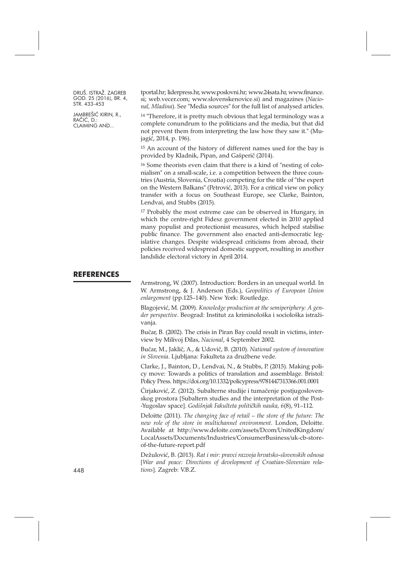JAMBREŠIĆ KIRIN, R., RAČIĆ, D.: CLAIMING AND...

tportal.hr; liderpress.hr, www.poslovni.hr; www.24sata.hr, www.finance. si; web.vecer.com; www.slovenskenovice.si) and magazines (*Nacional, Mladina*). See "Media sources" for the full list of analysed articles.

<sup>14</sup> "Therefore, it is pretty much obvious that legal terminology was a complete conundrum to the politicians and the media, but that did not prevent them from interpreting the law how they saw it." (Mujagić, 2014, p. 196).

15 An account of the history of different names used for the bay is provided by Kladnik, Pipan, and Gašperič (2014).

16 Some theorists even claim that there is a kind of "nesting of colonialism" on a small-scale, i.e. a competition between the three countries (Austria, Slovenia, Croatia) competing for the title of "the expert on the Western Balkans" (Petrović, 2013). For a critical view on policy transfer with a focus on Southeast Europe, see Clarke, Bainton, Lendvai, and Stubbs (2015).

17 Probably the most extreme case can be observed in Hungary, in which the centre-right Fidesz government elected in 2010 applied many populist and protectionist measures, which helped stabilise public finance. The government also enacted anti-democratic legislative changes. Despite widespread criticisms from abroad, their policies received widespread domestic support, resulting in another landslide electoral victory in April 2014.

#### **REFERENCES**

Armstrong, W. (2007). Introduction: Borders in an unequal world. In W. Armstrong, & J. Anderson (Eds.), *Geopolitics of European Union enlargement* (pp.125–140). New York: Routledge.

Blagojević, M. (2009). *Knowledge production at the semiperiphery: A gender perspective*. Beograd: Institut za kriminološka i sociološka istraživanja.

Bučar, B. (2002). The crisis in Piran Bay could result in victims, interview by Milivoj \ilas, *Nacional*, 4 September 2002.

Bučar, M., Jaklič, A., & Udovič, B. (2010). *National system of innovation in Slovenia*. Ljubljana: Fakulteta za družbene vede.

Clarke, J., Bainton, D., Lendvai, N., & Stubbs, P. (2015). Making policy move: Towards a politics of translation and assemblage. Bristol: Policy Press. https://doi.org[/10.1332/policypress/9781447313366.001.0001](https://doi.org/10.1332/policypress/9781447313366.001.0001)

Ćirjaković, Z. (2012). Subalterne studije i tumačenje postjugoslovenskog prostora [Subaltern studies and the interpretation of the Post- -Yugoslav space]. *Godišnjak Fakulteta političkih nauka, 6*(8), 91–112.

Deloitte (2011). *The changing face of retail – the store of the future: The new role of the store in multichannel environment*. London, Deloitte. Available at [http://www.deloite.com/assets/Dcom/UnitedKingdom/](http://www.deloite.com/assets/Dcom/UnitedKingdom/LocalAssets/Documents/Industries/ConsumerBusiness/uk-cb-store-of-the-future-report.pdf) [LocalAssets/Documents/Industries/ConsumerBusiness/uk-cb-store](http://www.deloite.com/assets/Dcom/UnitedKingdom/LocalAssets/Documents/Industries/ConsumerBusiness/uk-cb-store-of-the-future-report.pdf)[of-the-future-report.pdf](http://www.deloite.com/assets/Dcom/UnitedKingdom/LocalAssets/Documents/Industries/ConsumerBusiness/uk-cb-store-of-the-future-report.pdf)

Dežulović, B. (2013). *Rat i mir: pravci razvoja hrvatsko-slovenskih odnosa* [*War and peace: Directions of development of Croatian-Slovenian relations*]. Zagreb: V.B.Z.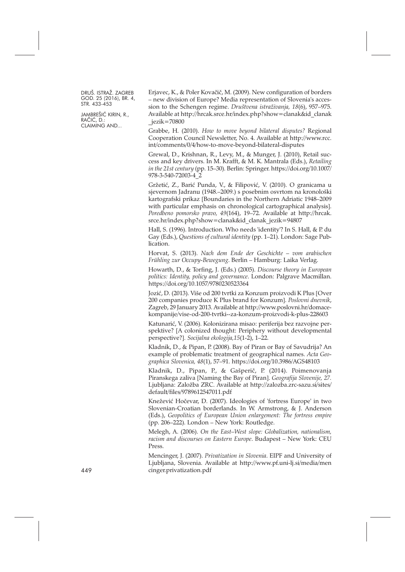JAMBREŠIĆ KIRIN, R., RAČIĆ, D.: CLAIMING AND...

Erjavec, K., & Poler Kovačič, M. (2009). New configuration of borders – new division of Europe? Media representation of Slovenia's accession to the Schengen regime. *Društvena istraživanja, 18*(6), 957–975. Available at [http://hrcak.srce.hr/index.php?show=clanak&id\\_clanak](http://hrcak.srce.hr/index.php?show=clanak&id_clanak_jezik=70800) [\\_jezik=70800](http://hrcak.srce.hr/index.php?show=clanak&id_clanak_jezik=70800)

Grabbe, H. (2010). *How to move beyond bilateral disputes?* Regional Cooperation Council Newsletter, No. 4. Available at [http://www.rcc.](http://www.rcc.int/comments/0/4/how-to-move-beyond-bilateral-disputes) [int/comments/0/4/how-to-move-beyond-bilateral-disputes](http://www.rcc.int/comments/0/4/how-to-move-beyond-bilateral-disputes)

Grewal, D., Krishnan, R., Levy, M., & Munger, J. (2010), Retail success and key drivers. In M. Krafft, & M. K. Mantrala (Eds.), *Retailing in the 21st century* (pp. 15–30). Berlin: Springer. https://doi.org[/10.1007/](https://doi.org/10.1007/978-3-540-72003-4_2) [978-3-540-72003-4\\_2](https://doi.org/10.1007/978-3-540-72003-4_2)

Gržetić, Z., Barić Punda, V., & Filipović, V. (2010). O granicama u sjevernom Jadranu (1948.–2009.) s posebnim osvrtom na kronološki kartografski prikaz [Boundaries in the Northern Adriatic 1948–2009 with particular emphasis on chronological cartographical analysis]. *Poredbeno pomorsko pravo, 49*(164), 19–72. Available at [http://hrcak.](http://hrcak.srce.hr/index.php?show=clanak&id_clanak_jezik=94807) [srce.hr/index.php?show=clanak&id\\_clanak\\_jezik=94807](http://hrcak.srce.hr/index.php?show=clanak&id_clanak_jezik=94807)

Hall, S. (1996). Introduction. Who needs 'identity'? In S. Hall, & P. du Gay (Eds.), *Questions of cultural identity* (pp. 1–21). London: Sage Publication.

Horvat, S. (2013). *Nach dem Ende der Geschichte – vom arabischen Frühling zur Occupy-Bewegung*. Berlin – Hamburg: Laika Verlag.

Howarth, D., & Torfing, J. (Eds.) (2005). *Discourse theory in European politics: Identity, policy and governance*. London: Palgrave Macmillan. https://doi.org[/10.1057/9780230523364](https://doi.org/10.1057/9780230523364)

Jozić, D. (2013). Više od 200 tvrtki za Konzum proizvodi K Plus [Over 200 companies produce K Plus brand for Konzum]. *Poslovni dnevnik*, Zagreb, 29 January 2013. Available at [http://www.poslovni.hr/domace](http://www.poslovni.hr/domace-kompanije/vise-od-200-tvrtki--za-konzum-proizvodi-k-plus-228603)[kompanije/vise-od-200-tvrtki--za-konzum-proizvodi-k-plus-228603](http://www.poslovni.hr/domace-kompanije/vise-od-200-tvrtki--za-konzum-proizvodi-k-plus-228603)

Katunarić, V. (2006). Kolonizirana misao: periferija bez razvojne perspektive? [A colonized thought: Periphery without developmental perspective?]. *Socijalna ekologija,15*(1-2), 1–22.

Kladnik, D., & Pipan, P. (2008). Bay of Piran or Bay of Savudrija? An example of problematic treatment of geographical names. *Acta Geographica Slovenica, 48*(1), 57–91. https://doi.org[/10.3986/AGS48103](https://doi.org/10.3986/AGS48103)

Kladnik, D., Pipan, P., & Gašperič, P. (2014). Poimenovanja Piranskega zaliva [Naming the Bay of Piran]. *Geografija Slovenije, 27.* Ljubljana: Založba ZRC. Available at [http://zalozba.zrc-sazu.si/sites/](http://zalozba.zrc-sazu.si/sites/default/files/9789612547011.pdf) [default/files/9789612547011.pdf](http://zalozba.zrc-sazu.si/sites/default/files/9789612547011.pdf)

Knežević Hočevar, D. (2007). Ideologies of 'fortress Europe' in two Slovenian-Croatian borderlands. In W. Armstrong, & J. Anderson (Eds.), *Geopolitics of European Union enlargement: The fortress empire* (pp. 206–222). London – New York: Routledge.

Melegh, A. (2006). *On the East–West slope: Globalization, nationalism, racism and discourses on Eastern Europe*. Budapest – New York: CEU Press.

Mencinger, J. (2007). *Privatization in Slovenia*. EIPF and University of Ljubljana, Slovenia. Available at [http://www.pf.uni-lj.si/media/men](http://www.pf.uni-lj.si/media/mencinger.privatization.pdf) 449 [cinger.privatization.pdf](http://www.pf.uni-lj.si/media/mencinger.privatization.pdf)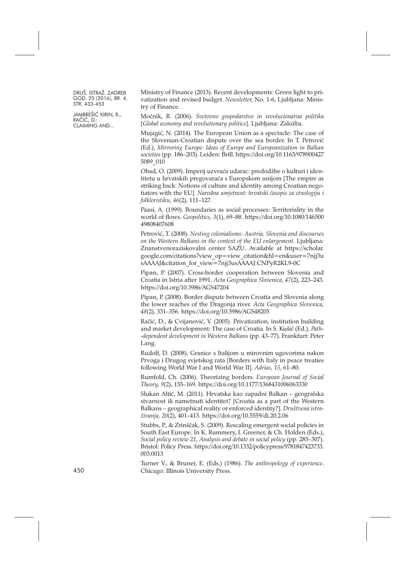JAMBREŠIĆ KIRIN, R., RAČIĆ, D.: CLAIMING AND...

Ministry of Finance (2013). Recent developments: Green light to privatization and revised budget. *Newsletter,* No. 1-6, Ljubljana: Ministry of Finance.

Močnik, R. (2006). *Svetovno gospodarstvo in revolucionarna politika* [*Global economy and revolutionary politics*]. Ljubljana: Založba.

Mujagić, N. (2014). The European Union as a spectacle: The case of the Slovenian-Croatian dispute over the sea border. In T. Petrović (Ed.), *Mirroring Europe: Ideas of Europe and Europeanization in Balkan societies* (pp. 186–203). Leiden: Brill. https://doi.org[/10.1163/978900427](https://doi.org/10.1163/9789004275089_010) [5089\\_010](https://doi.org/10.1163/9789004275089_010)

Obad, O. (2009). Imperij uzvraća udarac: predodžbe o kulturi i identitetu u hrvatskih pregovarača s Europskom unijom [The empire as striking back: Notions of culture and identity among Croatian negotiators with the EU]. *Narodna umjetnost: hrvatski časopis za etnologiju i folkloristiku, 46*(2), 111–127.

Paasi, A. (1999). Boundaries as social processes: Territoriality in the world of flows. *Geopolitics, 3*(1), 69–88. https://doi.org[/10.1080/146500](https://doi.org/10.1080/14650049808407608) [49808407608](https://doi.org/10.1080/14650049808407608)

Petrović, T. (2008). *Nesting colonialisms: Austria, Slovenia and discourses on the Western Balkans in the context of the EU enlargement*. Ljubljana: Znanstvenoraziskovalni center SAZU. Available at [https://scholar.](https://scholar.google.com/citations?view_op=view_citation&hl=en&user=7njj3usAAAAJ&citation_for_view=7njj3usAAAAJ:CNPyR2KL9-0C) [google.com/citations?view\\_op=view\\_citation&hl=en&user=7njj3u](https://scholar.google.com/citations?view_op=view_citation&hl=en&user=7njj3usAAAAJ&citation_for_view=7njj3usAAAAJ:CNPyR2KL9-0C) [sAAAAJ&citation\\_for\\_view=7njj3usAAAAJ:CNPyR2KL9-0C](https://scholar.google.com/citations?view_op=view_citation&hl=en&user=7njj3usAAAAJ&citation_for_view=7njj3usAAAAJ:CNPyR2KL9-0C)

Pipan, P. (2007). Cross-border cooperation between Slovenia and Croatia in Istria after 1991. *Acta Geographica Slovenica, 47*(2), 223–243. https://doi.org[/10.3986/AGS47204](https://doi.org/10.3986/AGS47204)

Pipan, P. (2008). Border dispute between Croatia and Slovenia along the lower reaches of the Dragonja river. *Acta Geographica Slovenica, 48*(2), 331–356. https://doi.org[/10.3986/AGS48205](https://doi.org/10.3986/AGS48205)

Račić, D., & Cvijanović, V. (2005). Privatization, institution building and market development: The case of Croatia. In S. Kušić (Ed.), *Path- -dependent development in Western Balkans* (pp. 43–77). Frankfurt: Peter Lang.

Rudolf, D. (2008). Granice s Italijom u mirovnim ugovorima nakon Prvoga i Drugog svjetskog rata [Borders with Italy in peace treaties following World War I and World War II]. *Adrias, 15,* 61–80.

Rumfold, Ch. (2006). Theorizing borders. *European Journal of Social Theory, 9*(2), 155–169. https://doi.org[/10.1177/1368431006063330](https://doi.org/10.1177/1368431006063330)

Slukan Altić, M. (2011). Hrvatska kao zapadni Balkan – geografska stvarnost ili nametnuti identitet? [Croatia as a part of the Western Balkans – geographical reality or enforced identity?]. *Društvena istraživanja, 20*(2), 401–413. https://doi.org[/10.5559/di.20.2.06](https://doi.org/10.5559/di.20.2.06)

Stubbs, P., & Zrinščak, S. (2009). Rescaling emergent social policies in South East Europe. In K. Rummery, I. Greener, & Ch. Holden (Eds.), *Social policy review 21, Analysis and debate in social policy* (pp. 285–307). Bristol: Policy Press. https://doi.org[/10.1332/policypress/9781847423733.](https://doi.org/10.1332/policypress/9781847423733.003.0013) [003.0013](https://doi.org/10.1332/policypress/9781847423733.003.0013)

Turner V., & Bruner, E. (Eds.) (1986). *The anthropology of experience*. Chicago: Illinois University Press.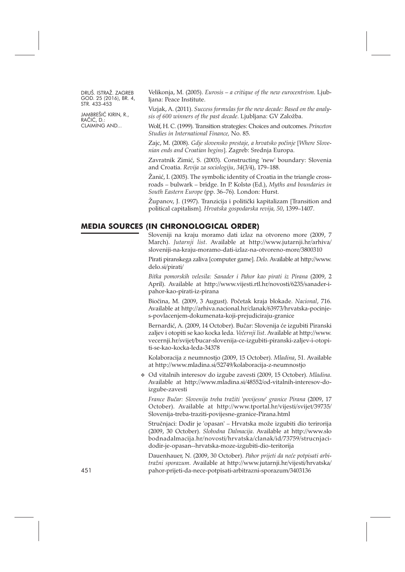JAMBREŠIĆ KIRIN, R., RAČIĆ, D.: CLAIMING AND...

Velikonja, M. (2005). *Eurosis – a critique of the new eurocentrism*. Ljubljana: Peace Institute.

Vizjak, A. (2011). *Success formulas for the new decade: Based on the analysis of 600 winners of the past decade*. Ljubljana: GV Založba.

Wolf, H. C. (1999). Transition strategies: Choices and outcomes. *Princeton Studies in International Finance,* No. 85.

Zajc, M. (2008). *Gdje slovensko prestaje, a hrvatsko počinje* [*Where Slovenian ends and Croatian begins*]. Zagreb: Srednja Europa.

Zavratnik Zimić, S. (2003). Constructing 'new' boundary: Slovenia and Croatia. *Revija za sociologiju*, *34*(3/4), 179–188.

Žanić, I. (2005). The symbolic identity of Croatia in the triangle crossroads – bulwark – bridge. In P. Kolstø (Ed.), *Myths and boundaries in South Eastern Europe* (pp. 36–76). London: Hurst.

Županov, J. (1997). Tranzicija i politički kapitalizam [Transition and political capitalism]. *Hrvatska gospodarska revija, 50*, 1399–1407.

#### **MEDIA SOURCES (IN CHRONOLOGICAL ORDER)**

Sloveniji na kraju moramo dati izlaz na otvoreno more (2009, 7 March). *Jutarnji list*. Available at [http://www.jutarnji.hr/arhiva/](http://www.jutarnji.hr/arhiva/sloveniji-na-kraju-moramo-dati-izlaz-na-otvoreno-more/3800310) [sloveniji-na-kraju-moramo-dati-izlaz-na-otvoreno-more/3800310](http://www.jutarnji.hr/arhiva/sloveniji-na-kraju-moramo-dati-izlaz-na-otvoreno-more/3800310)

Pirati piranskega zaliva [computer game]. *Delo*. Available at [http://www.](http://www.delo.si/pirati/) [delo.si/pirati/](http://www.delo.si/pirati/)

*Bitka pomorskih velesila: Sanader i Pahor kao pirati iz Pirana* (2009, 2 April). Available at [http://www.vijesti.rtl.hr/novosti/6235/sanader-i](http://www.vijesti.rtl.hr/novosti/6235/sanader-i-pahor-kao-pirati-iz-pirana)[pahor-kao-pirati-iz-pirana](http://www.vijesti.rtl.hr/novosti/6235/sanader-i-pahor-kao-pirati-iz-pirana)

Biočina, M. (2009, 3 August). Početak kraja blokade. *Nacional*, 716. Available at [http://arhiva.nacional.hr/clanak/63973/hrvatska-pocinje](http://arhiva.nacional.hr/clanak/63973/hrvatska-pocinje-s-povlacenjem-dokumenata-koji-prejudiciraju-granice)[s-povlacenjem-dokumenata-koji-prejudiciraju-granice](http://arhiva.nacional.hr/clanak/63973/hrvatska-pocinje-s-povlacenjem-dokumenata-koji-prejudiciraju-granice)

Bernardić, A. (2009, 14 October). Bučar: Slovenija će izgubiti Piranski zaljev i otopiti se kao kocka leda. *Večernji list*. Available at [http://www.](http://www.vecernji.hr/svijet/bucar-slovenija-ce-izgubiti-piranski-zaljev-i-otopiti-se-kao-kocka-leda-34378) [vecernji.hr/svijet/bucar-slovenija-ce-izgubiti-piranski-zaljev-i-otopi](http://www.vecernji.hr/svijet/bucar-slovenija-ce-izgubiti-piranski-zaljev-i-otopiti-se-kao-kocka-leda-34378)[ti-se-kao-kocka-leda-34378](http://www.vecernji.hr/svijet/bucar-slovenija-ce-izgubiti-piranski-zaljev-i-otopiti-se-kao-kocka-leda-34378)

Kolaboracija z neumnostjo (2009, 15 October). *Mladina*, 51. Available at <http://www.mladina.si/52749/kolaboracija-z-neumnostjo>

- Od vitalnih interesov do izgube zavesti (2009, 15 October). *Mladina*. Available at [http://www.mladina.si/48552/od-vitalnih-interesov-do](http://www.mladina.si/48552/od-vitalnih-interesov-do-izgube-zavesti)[izgube-zavesti](http://www.mladina.si/48552/od-vitalnih-interesov-do-izgube-zavesti)

*France Bučar: Slovenija treba tražiti 'povijesne' granice Pirana* (2009, 17 October). Available at [http://www.tportal.hr/vijesti/svijet/39735/](http://www.tportal.hr/vijesti/svijet/39735/Slovenija-treba-traziti-povijesne-granice-Pirana.html) [Slovenija-treba-traziti-povijesne-granice-Pirana.html](http://www.tportal.hr/vijesti/svijet/39735/Slovenija-treba-traziti-povijesne-granice-Pirana.html)

Stručnjaci: Dodir je 'opasan' – Hrvatska može izgubiti dio terirorija (2009, 30 October). *Slobodna Dalmacija*. Available at [http://www.slo](http://www.slobodnadalmacija.hr/novosti/hrvatska/clanak/id/73759/strucnjaci-dodir-je-opasan--hrvatska-moze-izgubiti-dio-teritorija) [bodnadalmacija.hr/novosti/hrvatska/clanak/id/73759/strucnjaci](http://www.slobodnadalmacija.hr/novosti/hrvatska/clanak/id/73759/strucnjaci-dodir-je-opasan--hrvatska-moze-izgubiti-dio-teritorija)[dodir-je-opasan--hrvatska-moze-izgubiti-dio-teritorija](http://www.slobodnadalmacija.hr/novosti/hrvatska/clanak/id/73759/strucnjaci-dodir-je-opasan--hrvatska-moze-izgubiti-dio-teritorija)

Dauenhauer, N. (2009, 30 October). *Pahor prijeti da neće potpisati arbitražni sporazum*. Available at [http://www.jutarnji.hr/vijesti/hrvatska/](http://www.jutarnji.hr/vijesti/hrvatska/pahor-prijeti-da-nece-potpisati-arbitrazni-sporazum/3403136) 451 [pahor-prijeti-da-nece-potpisati-arbitrazni-sporazum/3403136](http://www.jutarnji.hr/vijesti/hrvatska/pahor-prijeti-da-nece-potpisati-arbitrazni-sporazum/3403136)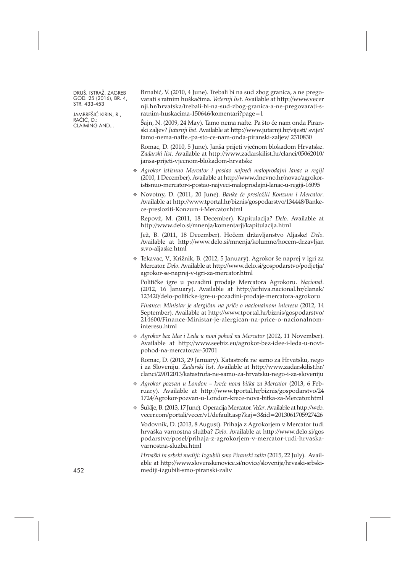JAMBREŠIĆ KIRIN, R., RAČIĆ, D.: CLAIMING AND...

Brnabić, V. (2010, 4 June). Trebali bi na sud zbog granica, a ne pregovarati s ratnim huškačima. *Večernji list*. Available at [http://www.vecer](http://www.vecernji.hr/hrvatska/trebali-bi-na-sud-zbog-granica-a-ne-pregovarati-s-ratnim-huskacima-150646/komentari?page=1) [nji.hr/hrvatska/trebali-bi-na-sud-zbog-granica-a-ne-pregovarati-s](http://www.vecernji.hr/hrvatska/trebali-bi-na-sud-zbog-granica-a-ne-pregovarati-s-ratnim-huskacima-150646/komentari?page=1)[ratnim-huskacima-150646/komentari?page=1](http://www.vecernji.hr/hrvatska/trebali-bi-na-sud-zbog-granica-a-ne-pregovarati-s-ratnim-huskacima-150646/komentari?page=1)

Šajn, N. (2009, 24 May). Tamo nema nafte. Pa što će nam onda Piranski zaljev? *Jutarnji list*. Available at [http://www.jutarnji.hr/vijesti/](http://www.jutarnji.hr/vijesti/svijet/tamo-nema-nafte.-pa-sto-ce-nam-onda-piranski-zaljev/2310830) svijet/ [tamo-nema-nafte.-pa-sto-ce-nam-onda-piranski-zaljev/](http://www.jutarnji.hr/vijesti/svijet/tamo-nema-nafte.-pa-sto-ce-nam-onda-piranski-zaljev/2310830) 2310830

Romac, D. (2010, 5 June). Janša prijeti vječnom blokadom Hrvatske. *Zadarski list*. Available at [http://www.zadarskilist.hr/clanci/05062010/](http://www.zadarskilist.hr/clanci/05062010/jansa-prijeti-vjecnom-blokadom-hrvatske) [jansa-prijeti-vjecnom-blokadom-hrvatske](http://www.zadarskilist.hr/clanci/05062010/jansa-prijeti-vjecnom-blokadom-hrvatske)

- *Agrokor istisnuo Mercator i postao najveći maloprodajni lanac u regiji* (2010, 1 December). Available at [http://www.dnevno.hr/novac/agrokor](http://www.dnevno.hr/novac/agrokor-istisnuo-mercator-i-postao-najveci-maloprodajni-lanac-u-regiji-16095)[istisnuo-mercator-i-postao-najveci-maloprodajni-lanac-u-regiji-16095](http://www.dnevno.hr/novac/agrokor-istisnuo-mercator-i-postao-najveci-maloprodajni-lanac-u-regiji-16095)
- Novotny, D. (2011, 20 June). *Banke će presložiti Konzum i Mercator*. Available at [http://www.tportal.hr/biznis/gospodarstvo/134448/Banke](http://www.tportal.hr/biznis/gospodarstvo/134448/Banke-ce-presloziti-Konzum-i-Mercator.html)[ce-presloziti-Konzum-i-Mercator.html](http://www.tportal.hr/biznis/gospodarstvo/134448/Banke-ce-presloziti-Konzum-i-Mercator.html)

Repovž, M. (2011, 18 December). Kapitulacija? *Delo*. Available at <http://www.delo.si/mnenja/komentarji/kapitulacija.html>

Jež, B. (2011, 18 December). Hočem državljanstvo Aljaske! *Delo*. Available at [http://www.delo.si/mnenja/kolumne/hocem-drzavljan](http://www.delo.si/mnenja/kolumne/hocem-drzavljanstvo-aljaske.html) [stvo-aljaske.html](http://www.delo.si/mnenja/kolumne/hocem-drzavljanstvo-aljaske.html)

- Tekavac, V., Križnik, B. (2012, 5 January). Agrokor še naprej v igri za Mercator. *Delo*. Available at [http://www.delo.si/gospodarstvo/podjetja/](http://www.delo.si/gospodarstvo/podjetja/agrokor-se-naprej-v-igri-za-mercator.html) [agrokor-se-naprej-v-igri-za-mercator.html](http://www.delo.si/gospodarstvo/podjetja/agrokor-se-naprej-v-igri-za-mercator.html)

Političke igre u pozadini prodaje Mercatora Agrokoru. *Nacional*. (2012, 16 January). Available at [http://arhiva.nacional.hr/clanak/](http://arhiva.nacional.hr/clanak/123420/delo-politicke-igre-u-pozadini-prodaje-mercatora-agrokoru) [123420/delo-politicke-igre-u-pozadini-prodaje-mercatora-agrokoru](http://arhiva.nacional.hr/clanak/123420/delo-politicke-igre-u-pozadini-prodaje-mercatora-agrokoru)

*Finance: Ministar je alergičan na priče o nacionalnom interesu* (2012, 14 September). Available at [http://www.tportal.hr/biznis/gospodarstvo/](http://www.tportal.hr/biznis/gospodarstvo/214600/Finance-Ministar-je-alergican-na-price-o-nacionalnom-interesu.html) [214600/Finance-Ministar-je-alergican-na-price-o-nacionalnom](http://www.tportal.hr/biznis/gospodarstvo/214600/Finance-Ministar-je-alergican-na-price-o-nacionalnom-interesu.html)[interesu.html](http://www.tportal.hr/biznis/gospodarstvo/214600/Finance-Ministar-je-alergican-na-price-o-nacionalnom-interesu.html)

- *Agrokor bez Idee i Leda u novi pohod na Mercator* (2012, 11 November). Available at [http://www.seebiz.eu/agrokor-bez-idee-i-leda-u-novi](http://www.seebiz.eu/agrokor-bez-idee-i-leda-u-novi-pohod-na-mercator/ar-50701)[pohod-na-mercator/ar-50701](http://www.seebiz.eu/agrokor-bez-idee-i-leda-u-novi-pohod-na-mercator/ar-50701)

Romac, D. (2013, 29 January). Katastrofa ne samo za Hrvatsku, nego i za Sloveniju. *Zadarski list*. Available at [http://www.zadarskilist.hr/](http://www.zadarskilist.hr/clanci/29012013/katastrofa-ne-samo-za-hrvatsku-nego-i-za-sloveniju) [clanci/29012013/katastrofa-ne-samo-za-hrvatsku-nego-i-za-sloveniju](http://www.zadarskilist.hr/clanci/29012013/katastrofa-ne-samo-za-hrvatsku-nego-i-za-sloveniju)

- *Agrokor pozvan u London – kreće nova bitka za Mercator* (2013, 6 February). Available at [http://www.tportal.hr/biznis/gospodarstvo/24](http://www.tportal.hr/biznis/gospodarstvo/241724/Agrokor-pozvan-u-London-krece-nova-bitka-za-Mercator.html) [1724/Agrokor-pozvan-u-London-krece-nova-bitka-za-Mercator.html](http://www.tportal.hr/biznis/gospodarstvo/241724/Agrokor-pozvan-u-London-krece-nova-bitka-za-Mercator.html)
- Šuklje, B.(2013, 17 June). Operacija Mercator.*Večer*.Available at [http://web.](http://web.vecer.com/portali/vecer/v1/default.asp?kaj=3&id=2013061705927426) [vecer.com/portali/vecer/v1/default.asp?kaj=3&id=2013061705927426](http://web.vecer.com/portali/vecer/v1/default.asp?kaj=3&id=2013061705927426) Vodovnik, D. (2013, 8 August). Prihaja z Agrokorjem v Mercator tudi hrvaška varnostna služba? *Delo*. Available at [http://www.delo.si/gos](http://www.delo.si/gospodarstvo/posel/prihaja-z-agrokorjem-v-mercator-tudi-hrvaska-varnostna-sluzba.html) [podarstvo/posel/prihaja-z-agrokorjem-v-mercator-tudi-hrvaska](http://www.delo.si/gospodarstvo/posel/prihaja-z-agrokorjem-v-mercator-tudi-hrvaska-varnostna-sluzba.html)[varnostna-sluzba.html](http://www.delo.si/gospodarstvo/posel/prihaja-z-agrokorjem-v-mercator-tudi-hrvaska-varnostna-sluzba.html)

*Hrvaški in srbski mediji: Izgubili smo Piranski zaliv* (2015, 22 July). Available at [http://www.slovenskenovice.si/novice/slovenija/hrvaski-srbski](http://www.slovenskenovice.si/novice/slovenija/hrvaski-srbski-mediji-izgubili-smo-piranski-zaliv)[mediji-izgubili-smo-piranski-zaliv](http://www.slovenskenovice.si/novice/slovenija/hrvaski-srbski-mediji-izgubili-smo-piranski-zaliv)